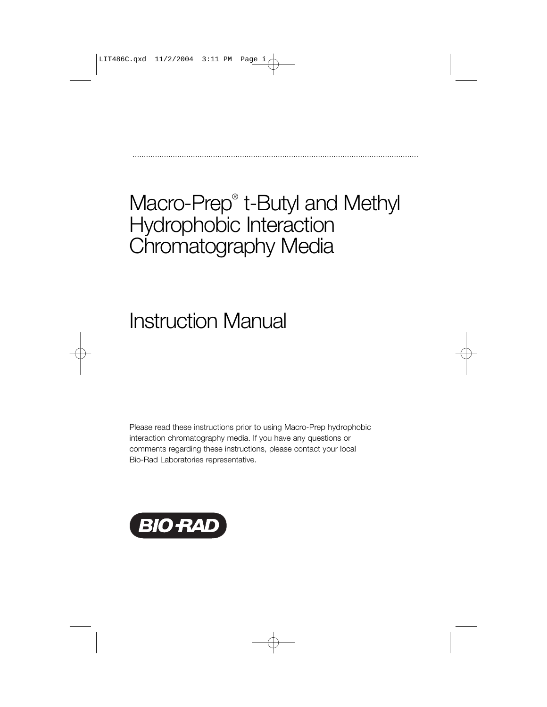## Macro-Prep® t-Butyl and Methyl Hydrophobic Interaction Chromatography Media

................................................................................................................................

# Instruction Manual

Please read these instructions prior to using Macro-Prep hydrophobic interaction chromatography media. If you have any questions or comments regarding these instructions, please contact your local Bio-Rad Laboratories representative.

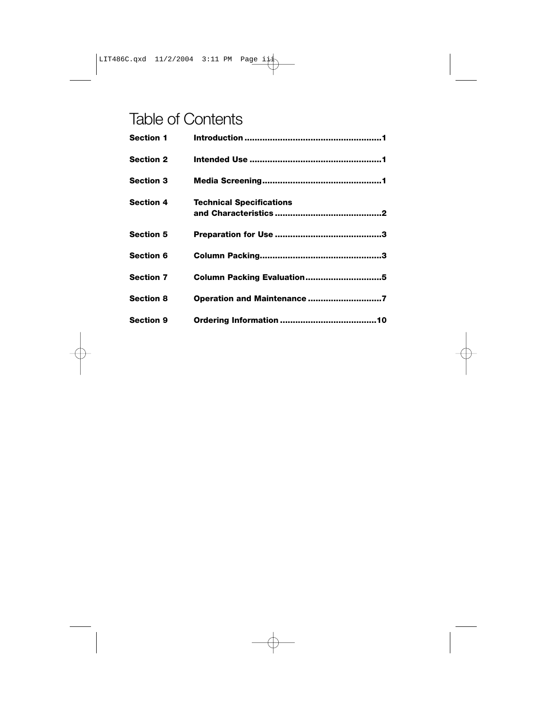## Table of Contents

| <b>Section 1</b> |                                 |
|------------------|---------------------------------|
| <b>Section 2</b> |                                 |
| <b>Section 3</b> |                                 |
| <b>Section 4</b> | <b>Technical Specifications</b> |
| <b>Section 5</b> |                                 |
| <b>Section 6</b> |                                 |
| <b>Section 7</b> | Column Packing Evaluation5      |
| <b>Section 8</b> | Operation and Maintenance 7     |
| <b>Section 9</b> |                                 |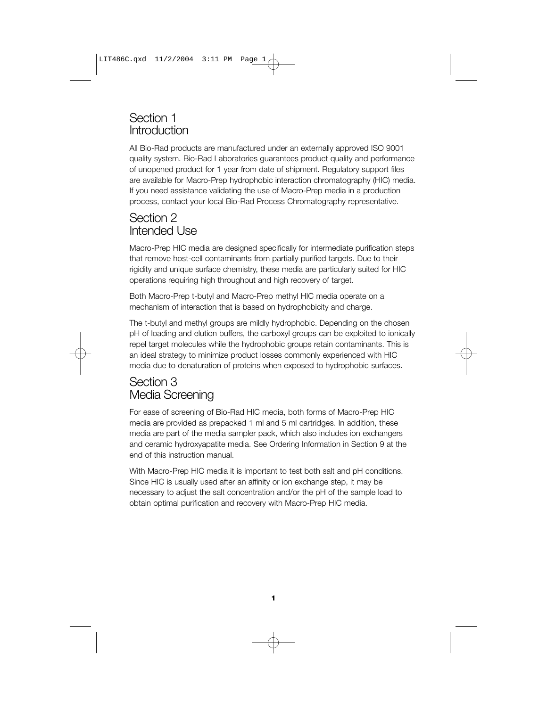## Section 1 Introduction

All Bio-Rad products are manufactured under an externally approved ISO 9001 quality system. Bio-Rad Laboratories guarantees product quality and performance of unopened product for 1 year from date of shipment. Regulatory support files are available for Macro-Prep hydrophobic interaction chromatography (HIC) media. If you need assistance validating the use of Macro-Prep media in a production process, contact your local Bio-Rad Process Chromatography representative.

## Section 2 Intended Use

Macro-Prep HIC media are designed specifically for intermediate purification steps that remove host-cell contaminants from partially purified targets. Due to their rigidity and unique surface chemistry, these media are particularly suited for HIC operations requiring high throughput and high recovery of target.

Both Macro-Prep t-butyl and Macro-Prep methyl HIC media operate on a mechanism of interaction that is based on hydrophobicity and charge.

The t-butyl and methyl groups are mildly hydrophobic. Depending on the chosen pH of loading and elution buffers, the carboxyl groups can be exploited to ionically repel target molecules while the hydrophobic groups retain contaminants. This is an ideal strategy to minimize product losses commonly experienced with HIC media due to denaturation of proteins when exposed to hydrophobic surfaces.

## Section 3 Media Screening

For ease of screening of Bio-Rad HIC media, both forms of Macro-Prep HIC media are provided as prepacked 1 ml and 5 ml cartridges. In addition, these media are part of the media sampler pack, which also includes ion exchangers and ceramic hydroxyapatite media. See Ordering Information in Section 9 at the end of this instruction manual.

With Macro-Prep HIC media it is important to test both salt and pH conditions. Since HIC is usually used after an affinity or ion exchange step, it may be necessary to adjust the salt concentration and/or the pH of the sample load to obtain optimal purification and recovery with Macro-Prep HIC media.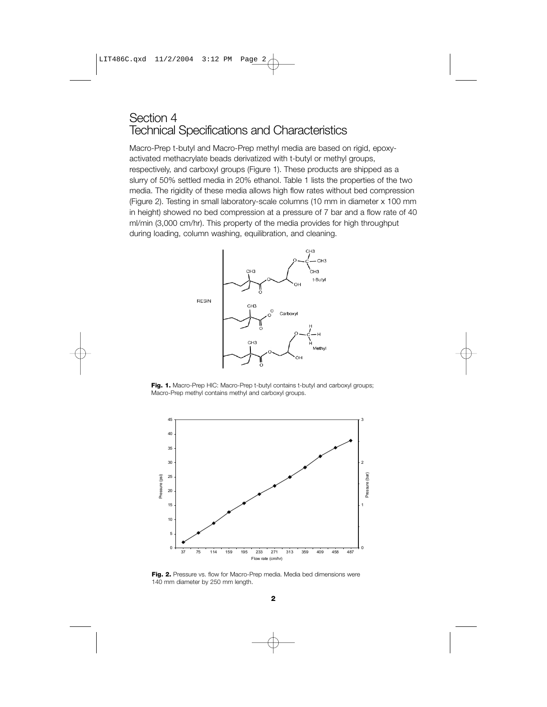### Section 4 Technical Specifications and Characteristics

Macro-Prep t-butyl and Macro-Prep methyl media are based on rigid, epoxyactivated methacrylate beads derivatized with t-butyl or methyl groups, respectively, and carboxyl groups (Figure 1). These products are shipped as a slurry of 50% settled media in 20% ethanol. Table 1 lists the properties of the two media. The rigidity of these media allows high flow rates without bed compression (Figure 2). Testing in small laboratory-scale columns (10 mm in diameter x 100 mm in height) showed no bed compression at a pressure of 7 bar and a flow rate of 40 ml/min (3,000 cm/hr). This property of the media provides for high throughput during loading, column washing, equilibration, and cleaning.



Fig. 1. Macro-Prep HIC: Macro-Prep t-butyl contains t-butyl and carboxyl groups; Macro-Prep methyl contains methyl and carboxyl groups.



**Fig. 2.** Pressure vs. flow for Macro-Prep media. Media bed dimensions were 140 mm diameter by 250 mm length.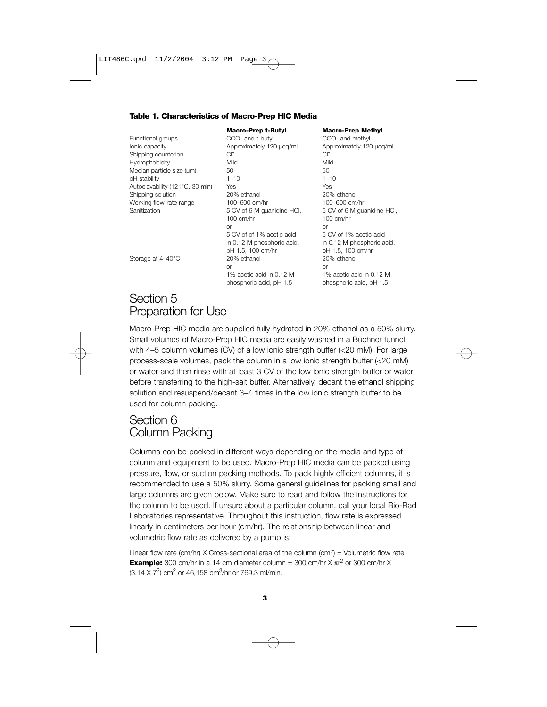#### **Table 1. Characteristics of Macro-Prep HIC Media**

Functional groups COO- and t-butyl COO- and methyl Ionic capacity Approximately 120 µeq/ml Approximately 120 µeq/ml Shipping counterion Cl<sup>-</sup> Cl<sup>-</sup> Cl<sup>-</sup> Hydrophobicity Mild Mild Median particle size  $(\mu m)$  50 50 pH stability 1–10 1–10 Autoclavability (121°C, 30 min) Yes Yes Shipping solution 20% ethanol 20% ethanol Working flow-rate range 100–600 cm/hr 100–600 cm/hr Sanitization 5 CV of 6 M guanidine-HCl, 5 CV of 6 M guanidine-HCl,

100 cm/hr 100 cm/hr or or 5 CV of of 1% acetic acid 5 CV of 1% acetic acid in 0.12 M phosphoric acid, in 0.12 M phosphoric acid, pH 1.5, 100 cm/hr pH 1.5, 100 cm/hr Storage at 4–40°C 20% ethanol 20% ethanol 20% ethanol or or 1% acetic acid in 0.12 M 1% acetic acid in 0.12 M phosphoric acid, pH 1.5 phosphoric acid, pH 1.5

#### **Macro-Prep t-Butyl Macro-Prep Methyl**

## Section 5 Preparation for Use

Macro-Prep HIC media are supplied fully hydrated in 20% ethanol as a 50% slurry. Small volumes of Macro-Prep HIC media are easily washed in a Büchner funnel with 4–5 column volumes (CV) of a low ionic strength buffer (<20 mM). For large process-scale volumes, pack the column in a low ionic strength buffer (<20 mM) or water and then rinse with at least 3 CV of the low ionic strength buffer or water before transferring to the high-salt buffer. Alternatively, decant the ethanol shipping solution and resuspend/decant 3–4 times in the low ionic strength buffer to be used for column packing.

## Section 6 Column Packing

Columns can be packed in different ways depending on the media and type of column and equipment to be used. Macro-Prep HIC media can be packed using pressure, flow, or suction packing methods. To pack highly efficient columns, it is recommended to use a 50% slurry. Some general guidelines for packing small and large columns are given below. Make sure to read and follow the instructions for the column to be used. If unsure about a particular column, call your local Bio-Rad Laboratories representative. Throughout this instruction, flow rate is expressed linearly in centimeters per hour (cm/hr). The relationship between linear and volumetric flow rate as delivered by a pump is:

Linear flow rate (cm/hr) X Cross-sectional area of the column (cm<sup>2</sup>) = Volumetric flow rate **Example:** 300 cm/hr in a 14 cm diameter column = 300 cm/hr  $\times \pi r^2$  or 300 cm/hr  $\times$ (3.14 X 72) cm2 or 46,158 cm3/hr or 769.3 ml/min*.*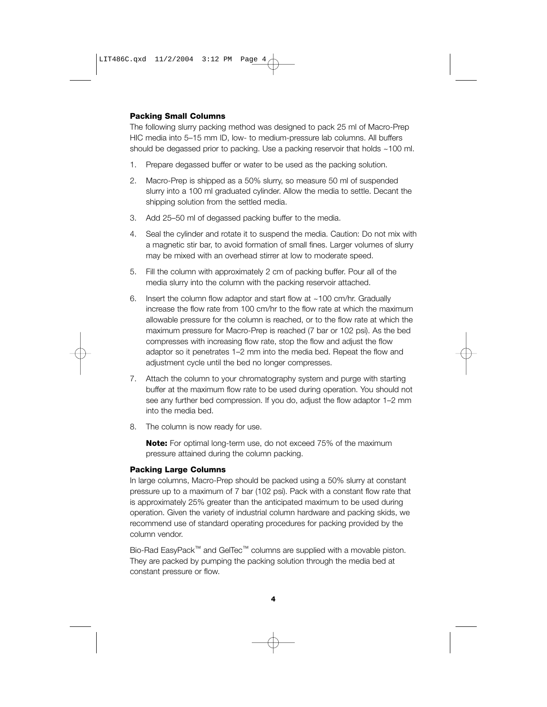#### **Packing Small Columns**

The following slurry packing method was designed to pack 25 ml of Macro-Prep HIC media into 5–15 mm ID, low- to medium-pressure lab columns. All buffers should be degassed prior to packing. Use a packing reservoir that holds ~100 ml.

- 1. Prepare degassed buffer or water to be used as the packing solution.
- 2. Macro-Prep is shipped as a 50% slurry, so measure 50 ml of suspended slurry into a 100 ml graduated cylinder. Allow the media to settle. Decant the shipping solution from the settled media.
- 3. Add 25–50 ml of degassed packing buffer to the media.
- 4. Seal the cylinder and rotate it to suspend the media. Caution: Do not mix with a magnetic stir bar, to avoid formation of small fines. Larger volumes of slurry may be mixed with an overhead stirrer at low to moderate speed.
- 5. Fill the column with approximately 2 cm of packing buffer. Pour all of the media slurry into the column with the packing reservoir attached.
- 6. Insert the column flow adaptor and start flow at ~100 cm/hr. Gradually increase the flow rate from 100 cm/hr to the flow rate at which the maximum allowable pressure for the column is reached, or to the flow rate at which the maximum pressure for Macro-Prep is reached (7 bar or 102 psi). As the bed compresses with increasing flow rate, stop the flow and adjust the flow adaptor so it penetrates 1–2 mm into the media bed. Repeat the flow and adjustment cycle until the bed no longer compresses.
- 7. Attach the column to your chromatography system and purge with starting buffer at the maximum flow rate to be used during operation. You should not see any further bed compression. If you do, adjust the flow adaptor 1–2 mm into the media bed.
- 8. The column is now ready for use.

**Note:** For optimal long-term use, do not exceed 75% of the maximum pressure attained during the column packing.

#### **Packing Large Columns**

In large columns, Macro-Prep should be packed using a 50% slurry at constant pressure up to a maximum of 7 bar (102 psi). Pack with a constant flow rate that is approximately 25% greater than the anticipated maximum to be used during operation. Given the variety of industrial column hardware and packing skids, we recommend use of standard operating procedures for packing provided by the column vendor.

Bio-Rad EasyPack™ and GelTec™ columns are supplied with a movable piston. They are packed by pumping the packing solution through the media bed at constant pressure or flow.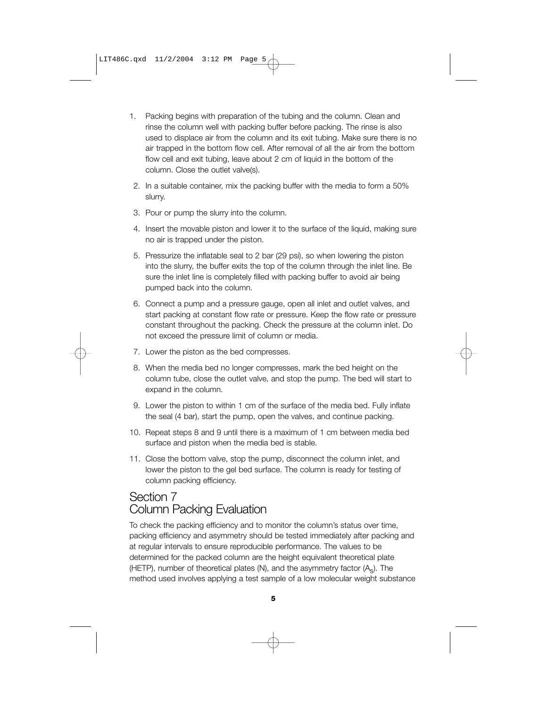- 1. Packing begins with preparation of the tubing and the column. Clean and rinse the column well with packing buffer before packing. The rinse is also used to displace air from the column and its exit tubing. Make sure there is no air trapped in the bottom flow cell. After removal of all the air from the bottom flow cell and exit tubing, leave about 2 cm of liquid in the bottom of the column. Close the outlet valve(s).
- 2. In a suitable container, mix the packing buffer with the media to form a 50% slurry.
- 3. Pour or pump the slurry into the column.
- 4. Insert the movable piston and lower it to the surface of the liquid, making sure no air is trapped under the piston.
- 5. Pressurize the inflatable seal to 2 bar (29 psi), so when lowering the piston into the slurry, the buffer exits the top of the column through the inlet line. Be sure the inlet line is completely filled with packing buffer to avoid air being pumped back into the column.
- 6. Connect a pump and a pressure gauge, open all inlet and outlet valves, and start packing at constant flow rate or pressure. Keep the flow rate or pressure constant throughout the packing. Check the pressure at the column inlet. Do not exceed the pressure limit of column or media.
- 7. Lower the piston as the bed compresses.
- 8. When the media bed no longer compresses, mark the bed height on the column tube, close the outlet valve, and stop the pump. The bed will start to expand in the column.
- 9. Lower the piston to within 1 cm of the surface of the media bed. Fully inflate the seal (4 bar), start the pump, open the valves, and continue packing.
- 10. Repeat steps 8 and 9 until there is a maximum of 1 cm between media bed surface and piston when the media bed is stable.
- 11. Close the bottom valve, stop the pump, disconnect the column inlet, and lower the piston to the gel bed surface. The column is ready for testing of column packing efficiency.

## Section 7 Column Packing Evaluation

To check the packing efficiency and to monitor the column's status over time, packing efficiency and asymmetry should be tested immediately after packing and at regular intervals to ensure reproducible performance. The values to be determined for the packed column are the height equivalent theoretical plate (HETP), number of theoretical plates (N), and the asymmetry factor (A<sub>c</sub>). The method used involves applying a test sample of a low molecular weight substance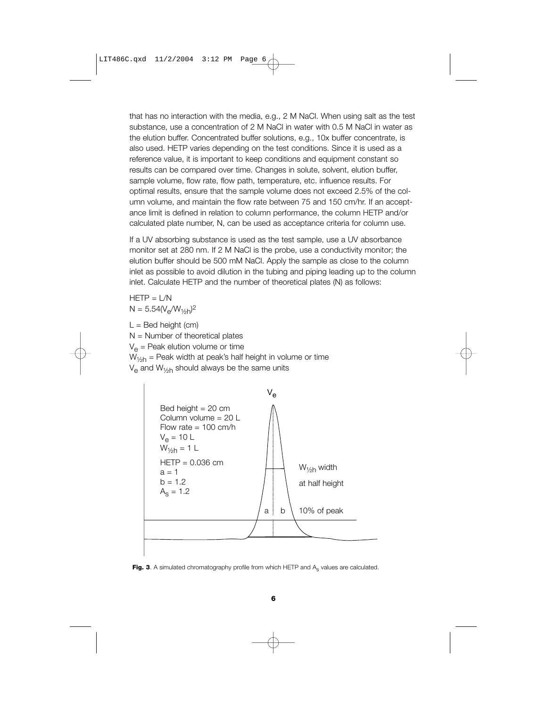that has no interaction with the media, e.g., 2 M NaCl. When using salt as the test substance, use a concentration of 2 M NaCl in water with 0.5 M NaCl in water as the elution buffer. Concentrated buffer solutions, e.g., 10x buffer concentrate, is also used. HETP varies depending on the test conditions. Since it is used as a reference value, it is important to keep conditions and equipment constant so results can be compared over time. Changes in solute, solvent, elution buffer, sample volume, flow rate, flow path, temperature, etc. influence results. For optimal results, ensure that the sample volume does not exceed 2.5% of the column volume, and maintain the flow rate between 75 and 150 cm/hr. If an acceptance limit is defined in relation to column performance, the column HETP and/or calculated plate number, N, can be used as acceptance criteria for column use.

If a UV absorbing substance is used as the test sample, use a UV absorbance monitor set at 280 nm. If 2 M NaCl is the probe, use a conductivity monitor; the elution buffer should be 500 mM NaCl. Apply the sample as close to the column inlet as possible to avoid dilution in the tubing and piping leading up to the column inlet. Calculate HETP and the number of theoretical plates (N) as follows:

 $HFTP = 1/N$  $N = 5.54(V_e/W_{1/2h})^2$ 

 $L =$  Bed height (cm)  $N =$  Number of theoretical plates  $V_{\alpha}$  = Peak elution volume or time  $W_{1/6h}$  = Peak width at peak's half height in volume or time  $V_{\alpha}$  and  $W_{1/2h}$  should always be the same units



Fig. 3. A simulated chromatography profile from which HETP and A<sub>s</sub> values are calculated.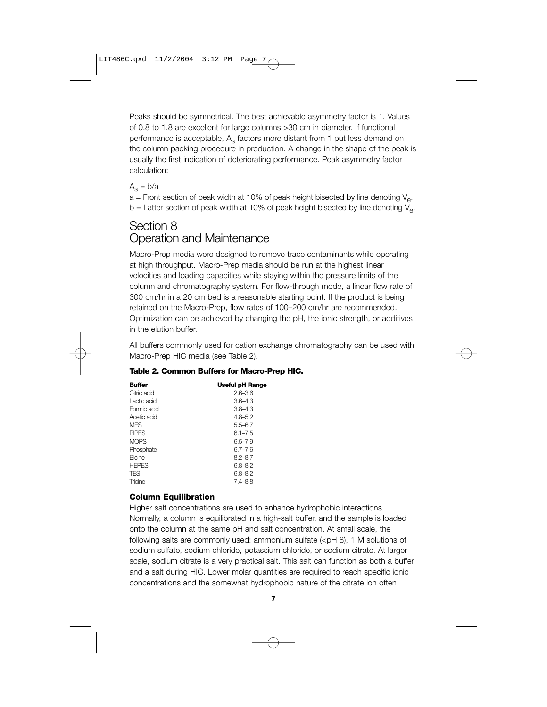Peaks should be symmetrical. The best achievable asymmetry factor is 1. Values of 0.8 to 1.8 are excellent for large columns >30 cm in diameter. If functional performance is acceptable, A<sub>s</sub> factors more distant from 1 put less demand on the column packing procedure in production. A change in the shape of the peak is usually the first indication of deteriorating performance. Peak asymmetry factor calculation:

#### $A<sub>s</sub> = b/a$

 $a$  = Front section of peak width at 10% of peak height bisected by line denoting  $V_a$ .  $b =$  Latter section of peak width at 10% of peak height bisected by line denoting  $V_{e}$ .

## Section 8 Operation and Maintenance

Macro-Prep media were designed to remove trace contaminants while operating at high throughput. Macro-Prep media should be run at the highest linear velocities and loading capacities while staying within the pressure limits of the column and chromatography system. For flow-through mode, a linear flow rate of 300 cm/hr in a 20 cm bed is a reasonable starting point. If the product is being retained on the Macro-Prep, flow rates of 100–200 cm/hr are recommended. Optimization can be achieved by changing the pH, the ionic strength, or additives in the elution buffer.

All buffers commonly used for cation exchange chromatography can be used with Macro-Prep HIC media (see Table 2).

| <b>Buffer</b> | <b>Useful pH Range</b> |
|---------------|------------------------|
| Citric acid   | $2.6 - 3.6$            |
| Lactic acid   | $3.6 - 4.3$            |
| Formic acid   | $3.8 - 4.3$            |
| Acetic acid   | $4.8 - 5.2$            |
| <b>MFS</b>    | 5.5–6.7                |
| <b>PIPES</b>  | $6.1 - 7.5$            |
| <b>MOPS</b>   | $6.5 - 7.9$            |
| Phosphate     | $6.7 - 7.6$            |
| <b>Bicine</b> | $8.2 - 8.7$            |
| <b>HEPES</b>  | 6.8-8.2                |
| <b>TES</b>    | 6.8-8.2                |
| Tricine       | $7.4 - 8.8$            |

#### **Table 2. Common Buffers for Macro-Prep HIC.**

#### **Column Equilibration**

Higher salt concentrations are used to enhance hydrophobic interactions. Normally, a column is equilibrated in a high-salt buffer, and the sample is loaded onto the column at the same pH and salt concentration. At small scale, the following salts are commonly used: ammonium sulfate  $(*p*H 8)$ , 1 M solutions of sodium sulfate, sodium chloride, potassium chloride, or sodium citrate. At larger scale, sodium citrate is a very practical salt. This salt can function as both a buffer and a salt during HIC. Lower molar quantities are required to reach specific ionic concentrations and the somewhat hydrophobic nature of the citrate ion often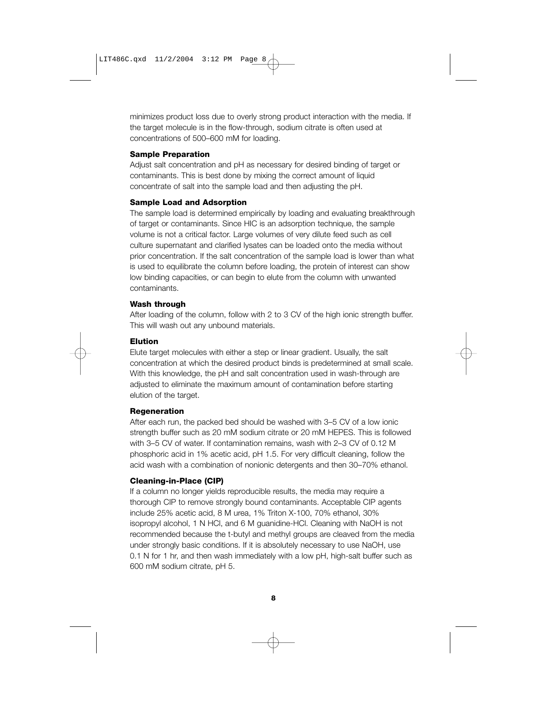minimizes product loss due to overly strong product interaction with the media. If the target molecule is in the flow-through, sodium citrate is often used at concentrations of 500–600 mM for loading.

#### **Sample Preparation**

Adjust salt concentration and pH as necessary for desired binding of target or contaminants. This is best done by mixing the correct amount of liquid concentrate of salt into the sample load and then adjusting the pH.

#### **Sample Load and Adsorption**

The sample load is determined empirically by loading and evaluating breakthrough of target or contaminants. Since HIC is an adsorption technique, the sample volume is not a critical factor. Large volumes of very dilute feed such as cell culture supernatant and clarified lysates can be loaded onto the media without prior concentration. If the salt concentration of the sample load is lower than what is used to equilibrate the column before loading, the protein of interest can show low binding capacities, or can begin to elute from the column with unwanted contaminants.

#### **Wash through**

After loading of the column, follow with 2 to 3 CV of the high ionic strength buffer. This will wash out any unbound materials.

#### **Elution**

Elute target molecules with either a step or linear gradient. Usually, the salt concentration at which the desired product binds is predetermined at small scale. With this knowledge, the pH and salt concentration used in wash-through are adjusted to eliminate the maximum amount of contamination before starting elution of the target.

#### **Regeneration**

After each run, the packed bed should be washed with 3–5 CV of a low ionic strength buffer such as 20 mM sodium citrate or 20 mM HEPES. This is followed with 3–5 CV of water. If contamination remains, wash with 2–3 CV of 0.12 M phosphoric acid in 1% acetic acid, pH 1.5. For very difficult cleaning, follow the acid wash with a combination of nonionic detergents and then 30–70% ethanol.

#### **Cleaning-in-Place (CIP)**

If a column no longer yields reproducible results, the media may require a thorough CIP to remove strongly bound contaminants. Acceptable CIP agents include 25% acetic acid, 8 M urea, 1% Triton X-100, 70% ethanol, 30% isopropyl alcohol, 1 N HCl, and 6 M guanidine-HCl. Cleaning with NaOH is not recommended because the t-butyl and methyl groups are cleaved from the media under strongly basic conditions. If it is absolutely necessary to use NaOH, use 0.1 N for 1 hr, and then wash immediately with a low pH, high-salt buffer such as 600 mM sodium citrate, pH 5.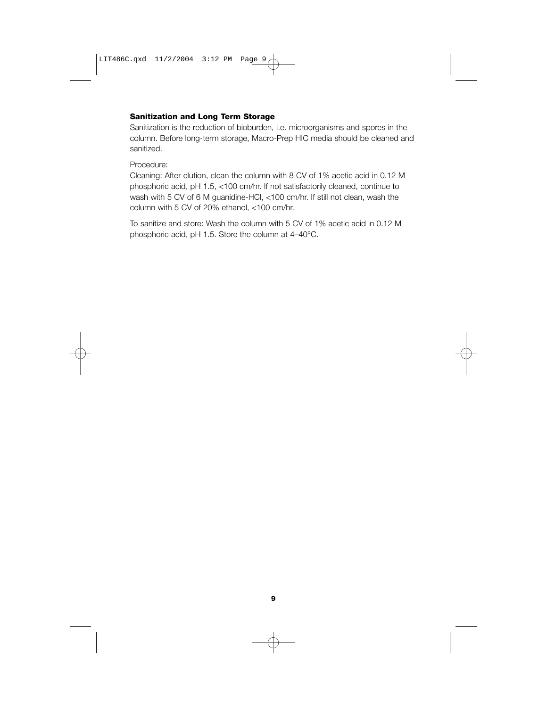#### **Sanitization and Long Term Storage**

Sanitization is the reduction of bioburden, i.e. microorganisms and spores in the column. Before long-term storage, Macro-Prep HIC media should be cleaned and sanitized.

#### Procedure:

Cleaning: After elution, clean the column with 8 CV of 1% acetic acid in 0.12 M phosphoric acid, pH 1.5, <100 cm/hr. If not satisfactorily cleaned, continue to wash with 5 CV of 6 M guanidine-HCl, <100 cm/hr. If still not clean, wash the column with 5 CV of 20% ethanol, <100 cm/hr.

To sanitize and store: Wash the column with 5 CV of 1% acetic acid in 0.12 M phosphoric acid, pH 1.5. Store the column at 4–40°C.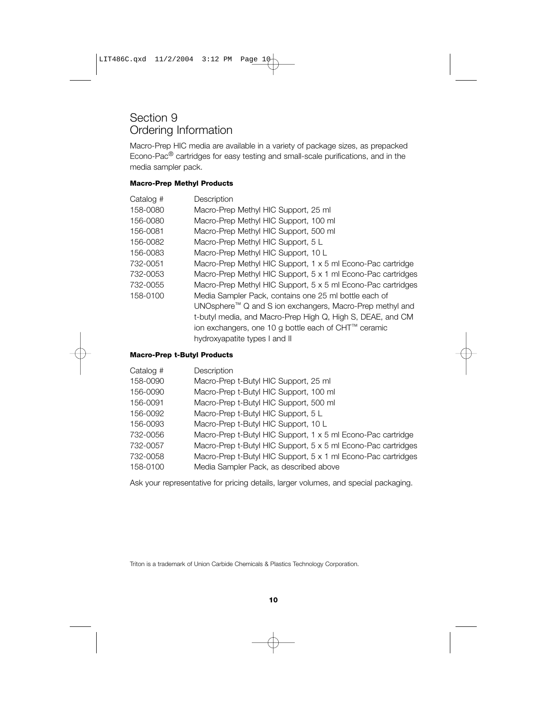### Section 9 Ordering Information

Macro-Prep HIC media are available in a variety of package sizes, as prepacked Econo-Pac® cartridges for easy testing and small-scale purifications, and in the media sampler pack.

#### **Macro-Prep Methyl Products**

| Catalog # | Description                                                  |
|-----------|--------------------------------------------------------------|
| 158-0080  | Macro-Prep Methyl HIC Support, 25 ml                         |
| 156-0080  | Macro-Prep Methyl HIC Support, 100 ml                        |
| 156-0081  | Macro-Prep Methyl HIC Support, 500 ml                        |
| 156-0082  | Macro-Prep Methyl HIC Support, 5 L                           |
| 156-0083  | Macro-Prep Methyl HIC Support, 10 L                          |
| 732-0051  | Macro-Prep Methyl HIC Support, 1 x 5 ml Econo-Pac cartridge  |
| 732-0053  | Macro-Prep Methyl HIC Support, 5 x 1 ml Econo-Pac cartridges |
| 732-0055  | Macro-Prep Methyl HIC Support, 5 x 5 ml Econo-Pac cartridges |
| 158-0100  | Media Sampler Pack, contains one 25 ml bottle each of        |
|           | UNOsphere™ Q and S ion exchangers, Macro-Prep methyl and     |
|           | t-butyl media, and Macro-Prep High Q, High S, DEAE, and CM   |
|           | ion exchangers, one 10 g bottle each of CHT™ ceramic         |
|           | hydroxyapatite types I and II                                |
|           |                                                              |

#### **Macro-Prep t-Butyl Products**

| Catalog # | Description                                                   |
|-----------|---------------------------------------------------------------|
| 158-0090  | Macro-Prep t-Butyl HIC Support, 25 ml                         |
| 156-0090  | Macro-Prep t-Butyl HIC Support, 100 ml                        |
| 156-0091  | Macro-Prep t-Butyl HIC Support, 500 ml                        |
| 156-0092  | Macro-Prep t-Butyl HIC Support, 5 L                           |
| 156-0093  | Macro-Prep t-Butyl HIC Support, 10 L                          |
| 732-0056  | Macro-Prep t-Butyl HIC Support, 1 x 5 ml Econo-Pac cartridge  |
| 732-0057  | Macro-Prep t-Butyl HIC Support, 5 x 5 ml Econo-Pac cartridges |
| 732-0058  | Macro-Prep t-Butyl HIC Support, 5 x 1 ml Econo-Pac cartridges |
| 158-0100  | Media Sampler Pack, as described above                        |
|           |                                                               |

Ask your representative for pricing details, larger volumes, and special packaging.

Triton is a trademark of Union Carbide Chemicals & Plastics Technology Corporation.